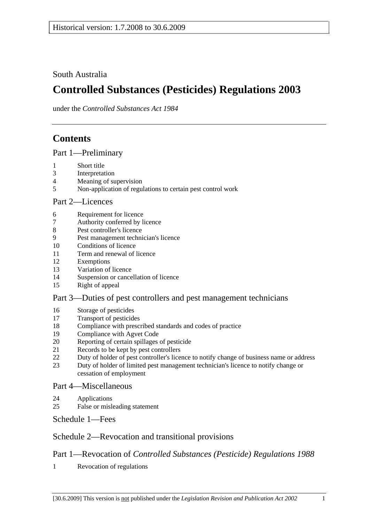South Australia

# **Controlled Substances (Pesticides) Regulations 2003**

under the *Controlled Substances Act 1984*

# **Contents**

Part 1—Preliminary

- 1 Short title
- 3 Interpretation
- 4 Meaning of supervision
- 5 Non-application of regulations to certain pest control work

#### Part 2—Licences

- 6 Requirement for licence
- 7 Authority conferred by licence
- 8 Pest controller's licence
- 9 Pest management technician's licence
- 10 Conditions of licence
- 11 Term and renewal of licence
- 12 Exemptions
- 13 Variation of licence
- 14 Suspension or cancellation of licence
- 15 Right of appeal

#### Part 3—Duties of pest controllers and pest management technicians

- 16 Storage of pesticides
- 17 Transport of pesticides
- 18 Compliance with prescribed standards and codes of practice
- 19 Compliance with Agvet Code
- 20 Reporting of certain spillages of pesticide
- 21 Records to be kept by pest controllers
- 22 Duty of holder of pest controller's licence to notify change of business name or address
- 23 Duty of holder of limited pest management technician's licence to notify change or cessation of employment

#### Part 4—Miscellaneous

- 24 Applications
- 25 False or misleading statement

Schedule 1—Fees

## Schedule 2—Revocation and transitional provisions

## Part 1—Revocation of *Controlled Substances (Pesticide) Regulations 1988*

1 Revocation of regulations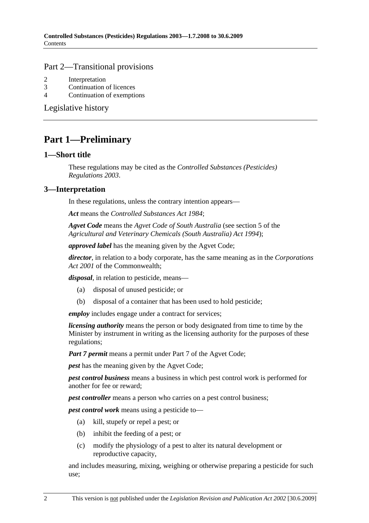#### Part 2—Transitional provisions

- 2 Interpretation
- 3 Continuation of licences
- 4 Continuation of exemptions

Legislative history

## **Part 1—Preliminary**

#### **1—Short title**

These regulations may be cited as the *Controlled Substances (Pesticides) Regulations 2003*.

### **3—Interpretation**

In these regulations, unless the contrary intention appears—

*Act* means the *Controlled Substances Act 1984*;

*Agvet Code* means the *Agvet Code of South Australia* (see section 5 of the *Agricultural and Veterinary Chemicals (South Australia) Act 1994*);

*approved label* has the meaning given by the Agvet Code;

*director*, in relation to a body corporate, has the same meaning as in the *Corporations Act 2001* of the Commonwealth;

*disposal*, in relation to pesticide, means—

- (a) disposal of unused pesticide; or
- (b) disposal of a container that has been used to hold pesticide;

*employ* includes engage under a contract for services;

*licensing authority* means the person or body designated from time to time by the Minister by instrument in writing as the licensing authority for the purposes of these regulations;

*Part 7 permit* means a permit under Part 7 of the Agvet Code;

*pest* has the meaning given by the Agvet Code;

*pest control business* means a business in which pest control work is performed for another for fee or reward;

*pest controller* means a person who carries on a pest control business;

*pest control work* means using a pesticide to—

- (a) kill, stupefy or repel a pest; or
- (b) inhibit the feeding of a pest; or
- (c) modify the physiology of a pest to alter its natural development or reproductive capacity,

and includes measuring, mixing, weighing or otherwise preparing a pesticide for such use;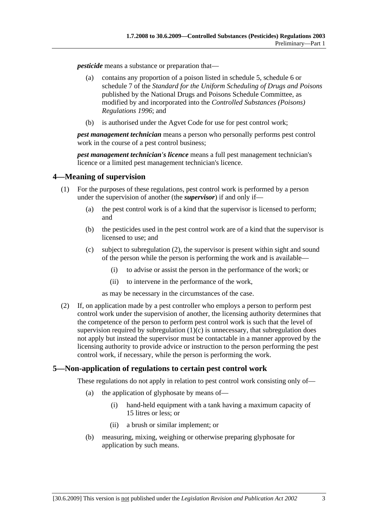*pesticide* means a substance or preparation that—

- (a) contains any proportion of a poison listed in schedule 5, schedule 6 or schedule 7 of the *Standard for the Uniform Scheduling of Drugs and Poisons* published by the National Drugs and Poisons Schedule Committee, as modified by and incorporated into the *Controlled Substances (Poisons) Regulations 1996*; and
- (b) is authorised under the Agvet Code for use for pest control work;

*pest management technician* means a person who personally performs pest control work in the course of a pest control business;

*pest management technician's licence* means a full pest management technician's licence or a limited pest management technician's licence.

#### **4—Meaning of supervision**

- (1) For the purposes of these regulations, pest control work is performed by a person under the supervision of another (the *supervisor*) if and only if—
	- (a) the pest control work is of a kind that the supervisor is licensed to perform; and
	- (b) the pesticides used in the pest control work are of a kind that the supervisor is licensed to use; and
	- (c) subject to subregulation (2), the supervisor is present within sight and sound of the person while the person is performing the work and is available—
		- (i) to advise or assist the person in the performance of the work; or
		- (ii) to intervene in the performance of the work,

as may be necessary in the circumstances of the case.

 (2) If, on application made by a pest controller who employs a person to perform pest control work under the supervision of another, the licensing authority determines that the competence of the person to perform pest control work is such that the level of supervision required by subregulation  $(1)(c)$  is unnecessary, that subregulation does not apply but instead the supervisor must be contactable in a manner approved by the licensing authority to provide advice or instruction to the person performing the pest control work, if necessary, while the person is performing the work.

#### **5—Non-application of regulations to certain pest control work**

These regulations do not apply in relation to pest control work consisting only of—

- (a) the application of glyphosate by means of—
	- (i) hand-held equipment with a tank having a maximum capacity of 15 litres or less; or
	- (ii) a brush or similar implement; or
- (b) measuring, mixing, weighing or otherwise preparing glyphosate for application by such means.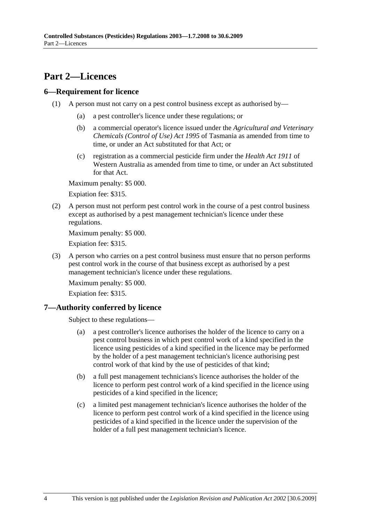## **Part 2—Licences**

#### **6—Requirement for licence**

- (1) A person must not carry on a pest control business except as authorised by—
	- (a) a pest controller's licence under these regulations; or
	- (b) a commercial operator's licence issued under the *Agricultural and Veterinary Chemicals (Control of Use) Act 1995* of Tasmania as amended from time to time, or under an Act substituted for that Act; or
	- (c) registration as a commercial pesticide firm under the *Health Act 1911* of Western Australia as amended from time to time, or under an Act substituted for that Act.

Maximum penalty: \$5 000.

Expiation fee: \$315.

 (2) A person must not perform pest control work in the course of a pest control business except as authorised by a pest management technician's licence under these regulations.

Maximum penalty: \$5 000.

Expiation fee: \$315.

 (3) A person who carries on a pest control business must ensure that no person performs pest control work in the course of that business except as authorised by a pest management technician's licence under these regulations.

Maximum penalty: \$5 000.

Expiation fee: \$315.

## **7—Authority conferred by licence**

Subject to these regulations—

- (a) a pest controller's licence authorises the holder of the licence to carry on a pest control business in which pest control work of a kind specified in the licence using pesticides of a kind specified in the licence may be performed by the holder of a pest management technician's licence authorising pest control work of that kind by the use of pesticides of that kind;
- (b) a full pest management technicians's licence authorises the holder of the licence to perform pest control work of a kind specified in the licence using pesticides of a kind specified in the licence;
- (c) a limited pest management technician's licence authorises the holder of the licence to perform pest control work of a kind specified in the licence using pesticides of a kind specified in the licence under the supervision of the holder of a full pest management technician's licence.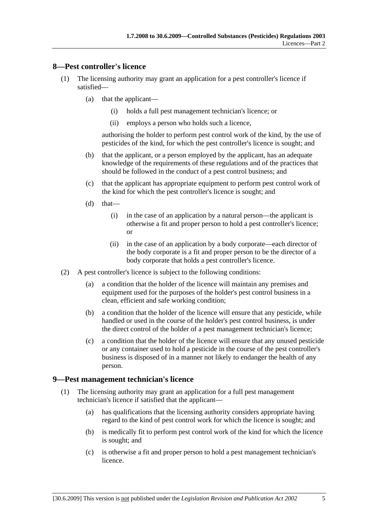#### **8—Pest controller's licence**

- (1) The licensing authority may grant an application for a pest controller's licence if satisfied—
	- (a) that the applicant—
		- (i) holds a full pest management technician's licence; or
		- (ii) employs a person who holds such a licence,

authorising the holder to perform pest control work of the kind, by the use of pesticides of the kind, for which the pest controller's licence is sought; and

- (b) that the applicant, or a person employed by the applicant, has an adequate knowledge of the requirements of these regulations and of the practices that should be followed in the conduct of a pest control business; and
- (c) that the applicant has appropriate equipment to perform pest control work of the kind for which the pest controller's licence is sought; and
- $(d)$  that—
	- (i) in the case of an application by a natural person—the applicant is otherwise a fit and proper person to hold a pest controller's licence; or
	- (ii) in the case of an application by a body corporate—each director of the body corporate is a fit and proper person to be the director of a body corporate that holds a pest controller's licence.
- (2) A pest controller's licence is subject to the following conditions:
	- (a) a condition that the holder of the licence will maintain any premises and equipment used for the purposes of the holder's pest control business in a clean, efficient and safe working condition;
	- (b) a condition that the holder of the licence will ensure that any pesticide, while handled or used in the course of the holder's pest control business, is under the direct control of the holder of a pest management technician's licence;
	- (c) a condition that the holder of the licence will ensure that any unused pesticide or any container used to hold a pesticide in the course of the pest controller's business is disposed of in a manner not likely to endanger the health of any person.

#### **9—Pest management technician's licence**

- (1) The licensing authority may grant an application for a full pest management technician's licence if satisfied that the applicant—
	- (a) has qualifications that the licensing authority considers appropriate having regard to the kind of pest control work for which the licence is sought; and
	- (b) is medically fit to perform pest control work of the kind for which the licence is sought; and
	- (c) is otherwise a fit and proper person to hold a pest management technician's licence.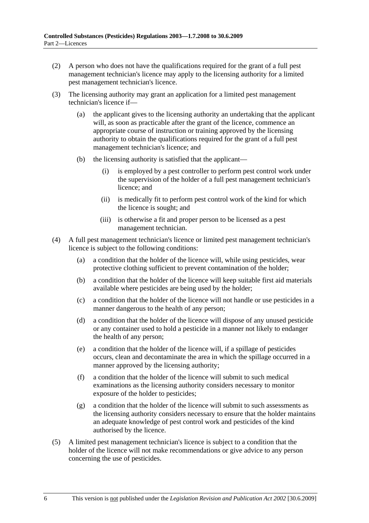- (2) A person who does not have the qualifications required for the grant of a full pest management technician's licence may apply to the licensing authority for a limited pest management technician's licence.
- (3) The licensing authority may grant an application for a limited pest management technician's licence if—
	- (a) the applicant gives to the licensing authority an undertaking that the applicant will, as soon as practicable after the grant of the licence, commence an appropriate course of instruction or training approved by the licensing authority to obtain the qualifications required for the grant of a full pest management technician's licence; and
	- (b) the licensing authority is satisfied that the applicant—
		- (i) is employed by a pest controller to perform pest control work under the supervision of the holder of a full pest management technician's licence; and
		- (ii) is medically fit to perform pest control work of the kind for which the licence is sought; and
		- (iii) is otherwise a fit and proper person to be licensed as a pest management technician.
- (4) A full pest management technician's licence or limited pest management technician's licence is subject to the following conditions:
	- (a) a condition that the holder of the licence will, while using pesticides, wear protective clothing sufficient to prevent contamination of the holder;
	- (b) a condition that the holder of the licence will keep suitable first aid materials available where pesticides are being used by the holder;
	- (c) a condition that the holder of the licence will not handle or use pesticides in a manner dangerous to the health of any person;
	- (d) a condition that the holder of the licence will dispose of any unused pesticide or any container used to hold a pesticide in a manner not likely to endanger the health of any person;
	- (e) a condition that the holder of the licence will, if a spillage of pesticides occurs, clean and decontaminate the area in which the spillage occurred in a manner approved by the licensing authority;
	- (f) a condition that the holder of the licence will submit to such medical examinations as the licensing authority considers necessary to monitor exposure of the holder to pesticides;
	- (g) a condition that the holder of the licence will submit to such assessments as the licensing authority considers necessary to ensure that the holder maintains an adequate knowledge of pest control work and pesticides of the kind authorised by the licence.
- (5) A limited pest management technician's licence is subject to a condition that the holder of the licence will not make recommendations or give advice to any person concerning the use of pesticides.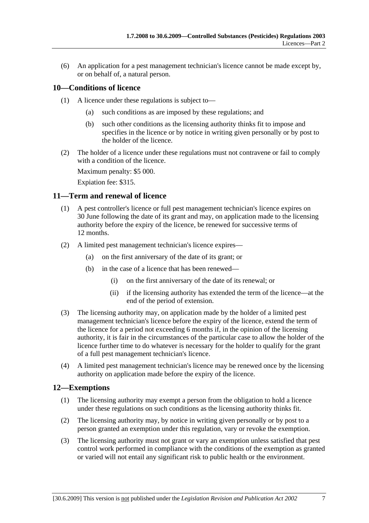(6) An application for a pest management technician's licence cannot be made except by, or on behalf of, a natural person.

### **10—Conditions of licence**

- (1) A licence under these regulations is subject to—
	- (a) such conditions as are imposed by these regulations; and
	- (b) such other conditions as the licensing authority thinks fit to impose and specifies in the licence or by notice in writing given personally or by post to the holder of the licence.
- (2) The holder of a licence under these regulations must not contravene or fail to comply with a condition of the licence.

Maximum penalty: \$5 000.

Expiation fee: \$315.

#### **11—Term and renewal of licence**

- (1) A pest controller's licence or full pest management technician's licence expires on 30 June following the date of its grant and may, on application made to the licensing authority before the expiry of the licence, be renewed for successive terms of 12 months.
- (2) A limited pest management technician's licence expires—
	- (a) on the first anniversary of the date of its grant; or
	- (b) in the case of a licence that has been renewed—
		- (i) on the first anniversary of the date of its renewal; or
		- (ii) if the licensing authority has extended the term of the licence—at the end of the period of extension.
- (3) The licensing authority may, on application made by the holder of a limited pest management technician's licence before the expiry of the licence, extend the term of the licence for a period not exceeding 6 months if, in the opinion of the licensing authority, it is fair in the circumstances of the particular case to allow the holder of the licence further time to do whatever is necessary for the holder to qualify for the grant of a full pest management technician's licence.
- (4) A limited pest management technician's licence may be renewed once by the licensing authority on application made before the expiry of the licence.

#### **12—Exemptions**

- (1) The licensing authority may exempt a person from the obligation to hold a licence under these regulations on such conditions as the licensing authority thinks fit.
- (2) The licensing authority may, by notice in writing given personally or by post to a person granted an exemption under this regulation, vary or revoke the exemption.
- (3) The licensing authority must not grant or vary an exemption unless satisfied that pest control work performed in compliance with the conditions of the exemption as granted or varied will not entail any significant risk to public health or the environment.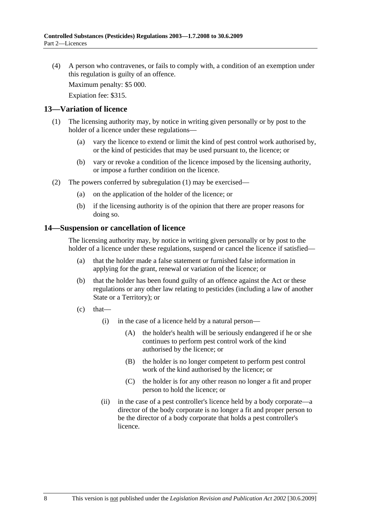(4) A person who contravenes, or fails to comply with, a condition of an exemption under this regulation is guilty of an offence.

Maximum penalty: \$5 000.

Expiation fee: \$315.

#### **13—Variation of licence**

- (1) The licensing authority may, by notice in writing given personally or by post to the holder of a licence under these regulations—
	- (a) vary the licence to extend or limit the kind of pest control work authorised by, or the kind of pesticides that may be used pursuant to, the licence; or
	- (b) vary or revoke a condition of the licence imposed by the licensing authority, or impose a further condition on the licence.
- (2) The powers conferred by subregulation (1) may be exercised—
	- (a) on the application of the holder of the licence; or
	- (b) if the licensing authority is of the opinion that there are proper reasons for doing so.

#### **14—Suspension or cancellation of licence**

The licensing authority may, by notice in writing given personally or by post to the holder of a licence under these regulations, suspend or cancel the licence if satisfied—

- (a) that the holder made a false statement or furnished false information in applying for the grant, renewal or variation of the licence; or
- (b) that the holder has been found guilty of an offence against the Act or these regulations or any other law relating to pesticides (including a law of another State or a Territory); or
- $(c)$  that—
	- (i) in the case of a licence held by a natural person—
		- (A) the holder's health will be seriously endangered if he or she continues to perform pest control work of the kind authorised by the licence; or
		- (B) the holder is no longer competent to perform pest control work of the kind authorised by the licence; or
		- (C) the holder is for any other reason no longer a fit and proper person to hold the licence; or
	- (ii) in the case of a pest controller's licence held by a body corporate—a director of the body corporate is no longer a fit and proper person to be the director of a body corporate that holds a pest controller's licence.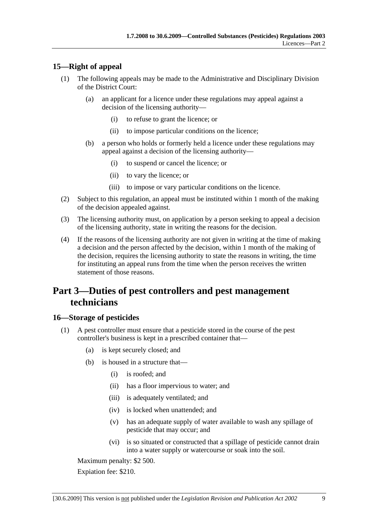### **15—Right of appeal**

- (1) The following appeals may be made to the Administrative and Disciplinary Division of the District Court:
	- (a) an applicant for a licence under these regulations may appeal against a decision of the licensing authority—
		- (i) to refuse to grant the licence; or
		- (ii) to impose particular conditions on the licence;
	- (b) a person who holds or formerly held a licence under these regulations may appeal against a decision of the licensing authority—
		- (i) to suspend or cancel the licence; or
		- (ii) to vary the licence; or
		- (iii) to impose or vary particular conditions on the licence.
- (2) Subject to this regulation, an appeal must be instituted within 1 month of the making of the decision appealed against.
- (3) The licensing authority must, on application by a person seeking to appeal a decision of the licensing authority, state in writing the reasons for the decision.
- (4) If the reasons of the licensing authority are not given in writing at the time of making a decision and the person affected by the decision, within 1 month of the making of the decision, requires the licensing authority to state the reasons in writing, the time for instituting an appeal runs from the time when the person receives the written statement of those reasons.

## **Part 3—Duties of pest controllers and pest management technicians**

#### **16—Storage of pesticides**

- (1) A pest controller must ensure that a pesticide stored in the course of the pest controller's business is kept in a prescribed container that—
	- (a) is kept securely closed; and
	- (b) is housed in a structure that—
		- (i) is roofed; and
		- (ii) has a floor impervious to water; and
		- (iii) is adequately ventilated; and
		- (iv) is locked when unattended; and
		- (v) has an adequate supply of water available to wash any spillage of pesticide that may occur; and
		- (vi) is so situated or constructed that a spillage of pesticide cannot drain into a water supply or watercourse or soak into the soil.

Maximum penalty: \$2 500.

Expiation fee: \$210.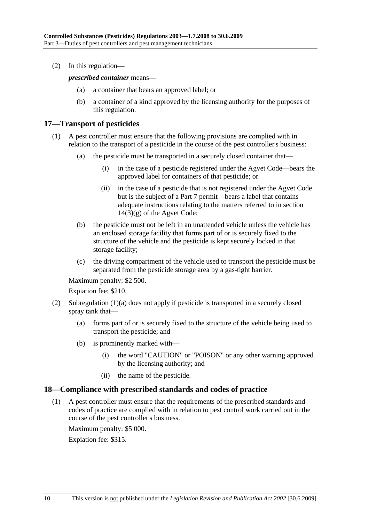(2) In this regulation—

*prescribed container* means—

- (a) a container that bears an approved label; or
- (b) a container of a kind approved by the licensing authority for the purposes of this regulation.

#### **17—Transport of pesticides**

- (1) A pest controller must ensure that the following provisions are complied with in relation to the transport of a pesticide in the course of the pest controller's business:
	- (a) the pesticide must be transported in a securely closed container that—
		- (i) in the case of a pesticide registered under the Agvet Code—bears the approved label for containers of that pesticide; or
		- (ii) in the case of a pesticide that is not registered under the Agvet Code but is the subject of a Part 7 permit—bears a label that contains adequate instructions relating to the matters referred to in section  $14(3)(g)$  of the Agvet Code;
	- (b) the pesticide must not be left in an unattended vehicle unless the vehicle has an enclosed storage facility that forms part of or is securely fixed to the structure of the vehicle and the pesticide is kept securely locked in that storage facility;
	- (c) the driving compartment of the vehicle used to transport the pesticide must be separated from the pesticide storage area by a gas-tight barrier.

Maximum penalty: \$2 500.

Expiation fee: \$210.

- (2) Subregulation (1)(a) does not apply if pesticide is transported in a securely closed spray tank that—
	- (a) forms part of or is securely fixed to the structure of the vehicle being used to transport the pesticide; and
	- (b) is prominently marked with—
		- (i) the word "CAUTION" or "POISON" or any other warning approved by the licensing authority; and
		- (ii) the name of the pesticide.

#### **18—Compliance with prescribed standards and codes of practice**

 (1) A pest controller must ensure that the requirements of the prescribed standards and codes of practice are complied with in relation to pest control work carried out in the course of the pest controller's business.

Maximum penalty: \$5 000.

Expiation fee: \$315.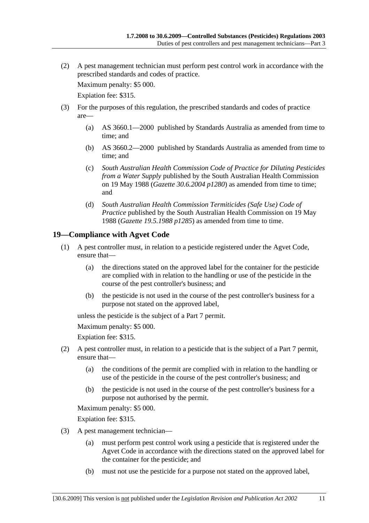(2) A pest management technician must perform pest control work in accordance with the prescribed standards and codes of practice.

Maximum penalty: \$5 000.

Expiation fee: \$315.

- (3) For the purposes of this regulation, the prescribed standards and codes of practice are—
	- (a) AS 3660.1—2000 published by Standards Australia as amended from time to time; and
	- (b) AS 3660.2—2000 published by Standards Australia as amended from time to time; and
	- (c) *South Australian Health Commission Code of Practice for Diluting Pesticides from a Water Supply* published by the South Australian Health Commission on 19 May 1988 (*Gazette 30.6.2004 p1280*) as amended from time to time; and
	- (d) *South Australian Health Commission Termiticides (Safe Use) Code of Practice* published by the South Australian Health Commission on 19 May 1988 (*Gazette 19.5.1988 p1285*) as amended from time to time.

### **19—Compliance with Agvet Code**

- (1) A pest controller must, in relation to a pesticide registered under the Agvet Code, ensure that—
	- (a) the directions stated on the approved label for the container for the pesticide are complied with in relation to the handling or use of the pesticide in the course of the pest controller's business; and
	- (b) the pesticide is not used in the course of the pest controller's business for a purpose not stated on the approved label,

unless the pesticide is the subject of a Part 7 permit.

Maximum penalty: \$5 000.

Expiation fee: \$315.

- (2) A pest controller must, in relation to a pesticide that is the subject of a Part 7 permit, ensure that—
	- (a) the conditions of the permit are complied with in relation to the handling or use of the pesticide in the course of the pest controller's business; and
	- (b) the pesticide is not used in the course of the pest controller's business for a purpose not authorised by the permit.

Maximum penalty: \$5 000.

Expiation fee: \$315.

- (3) A pest management technician—
	- (a) must perform pest control work using a pesticide that is registered under the Agvet Code in accordance with the directions stated on the approved label for the container for the pesticide; and
	- (b) must not use the pesticide for a purpose not stated on the approved label,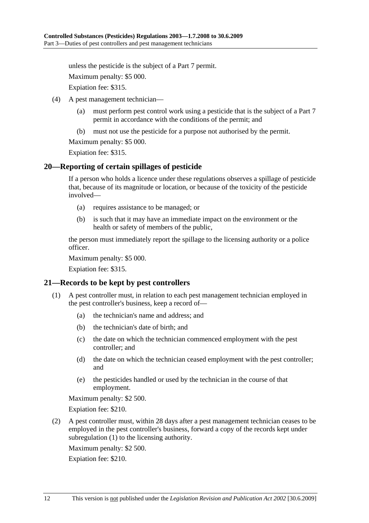unless the pesticide is the subject of a Part 7 permit.

Maximum penalty: \$5 000.

Expiation fee: \$315.

- (4) A pest management technician—
	- (a) must perform pest control work using a pesticide that is the subject of a Part 7 permit in accordance with the conditions of the permit; and
	- (b) must not use the pesticide for a purpose not authorised by the permit.

Maximum penalty: \$5 000.

Expiation fee: \$315.

#### **20—Reporting of certain spillages of pesticide**

If a person who holds a licence under these regulations observes a spillage of pesticide that, because of its magnitude or location, or because of the toxicity of the pesticide involved—

- (a) requires assistance to be managed; or
- (b) is such that it may have an immediate impact on the environment or the health or safety of members of the public,

the person must immediately report the spillage to the licensing authority or a police officer.

Maximum penalty: \$5 000.

Expiation fee: \$315.

#### **21—Records to be kept by pest controllers**

- (1) A pest controller must, in relation to each pest management technician employed in the pest controller's business, keep a record of—
	- (a) the technician's name and address; and
	- (b) the technician's date of birth; and
	- (c) the date on which the technician commenced employment with the pest controller; and
	- (d) the date on which the technician ceased employment with the pest controller; and
	- (e) the pesticides handled or used by the technician in the course of that employment.

Maximum penalty: \$2 500.

Expiation fee: \$210.

 (2) A pest controller must, within 28 days after a pest management technician ceases to be employed in the pest controller's business, forward a copy of the records kept under subregulation (1) to the licensing authority.

Maximum penalty: \$2 500.

Expiation fee: \$210.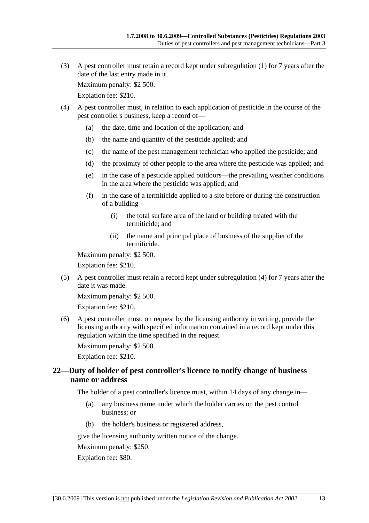(3) A pest controller must retain a record kept under subregulation (1) for 7 years after the date of the last entry made in it.

Maximum penalty: \$2 500.

Expiation fee: \$210.

- (4) A pest controller must, in relation to each application of pesticide in the course of the pest controller's business, keep a record of—
	- (a) the date, time and location of the application; and
	- (b) the name and quantity of the pesticide applied; and
	- (c) the name of the pest management technician who applied the pesticide; and
	- (d) the proximity of other people to the area where the pesticide was applied; and
	- (e) in the case of a pesticide applied outdoors—the prevailing weather conditions in the area where the pesticide was applied; and
	- (f) in the case of a termiticide applied to a site before or during the construction of a building—
		- (i) the total surface area of the land or building treated with the termiticide; and
		- (ii) the name and principal place of business of the supplier of the termiticide.

Maximum penalty: \$2 500.

Expiation fee: \$210.

 (5) A pest controller must retain a record kept under subregulation (4) for 7 years after the date it was made.

Maximum penalty: \$2 500.

Expiation fee: \$210.

 (6) A pest controller must, on request by the licensing authority in writing, provide the licensing authority with specified information contained in a record kept under this regulation within the time specified in the request.

Maximum penalty: \$2 500.

Expiation fee: \$210.

#### **22—Duty of holder of pest controller's licence to notify change of business name or address**

The holder of a pest controller's licence must, within 14 days of any change in—

- (a) any business name under which the holder carries on the pest control business; or
- (b) the holder's business or registered address,

give the licensing authority written notice of the change.

Maximum penalty: \$250.

Expiation fee: \$80.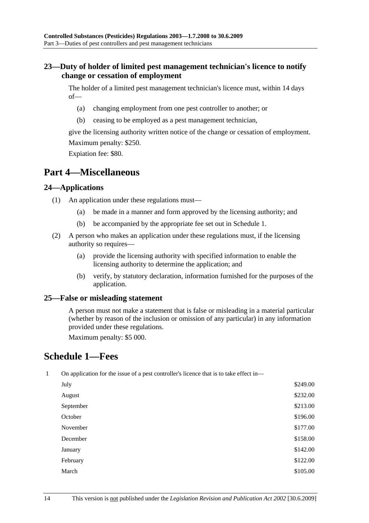### **23—Duty of holder of limited pest management technician's licence to notify change or cessation of employment**

The holder of a limited pest management technician's licence must, within 14 days of—

- (a) changing employment from one pest controller to another; or
- (b) ceasing to be employed as a pest management technician,

give the licensing authority written notice of the change or cessation of employment. Maximum penalty: \$250.

Expiation fee: \$80.

## **Part 4—Miscellaneous**

#### **24—Applications**

- (1) An application under these regulations must—
	- (a) be made in a manner and form approved by the licensing authority; and
	- (b) be accompanied by the appropriate fee set out in Schedule 1.
- (2) A person who makes an application under these regulations must, if the licensing authority so requires—
	- (a) provide the licensing authority with specified information to enable the licensing authority to determine the application; and
	- (b) verify, by statutory declaration, information furnished for the purposes of the application.

#### **25—False or misleading statement**

A person must not make a statement that is false or misleading in a material particular (whether by reason of the inclusion or omission of any particular) in any information provided under these regulations.

Maximum penalty: \$5 000.

## **Schedule 1—Fees**

1 On application for the issue of a pest controller's licence that is to take effect in—

| July      | \$249.00 |
|-----------|----------|
| August    | \$232.00 |
| September | \$213.00 |
| October   | \$196.00 |
| November  | \$177.00 |
| December  | \$158.00 |
| January   | \$142.00 |
| February  | \$122.00 |
| March     | \$105.00 |
|           |          |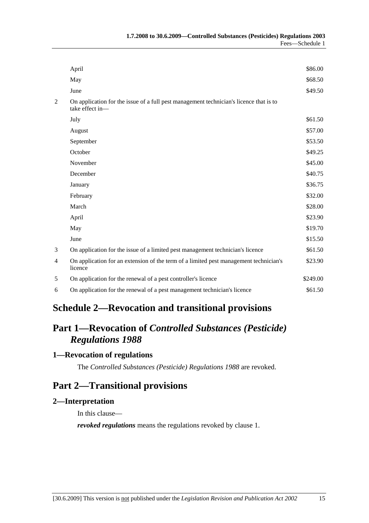|                | April                                                                                                     | \$86.00  |
|----------------|-----------------------------------------------------------------------------------------------------------|----------|
|                | May                                                                                                       | \$68.50  |
|                | June                                                                                                      | \$49.50  |
| $\overline{c}$ | On application for the issue of a full pest management technician's licence that is to<br>take effect in- |          |
|                | July                                                                                                      | \$61.50  |
|                | August                                                                                                    | \$57.00  |
|                | September                                                                                                 | \$53.50  |
|                | October                                                                                                   | \$49.25  |
|                | November                                                                                                  | \$45.00  |
|                | December                                                                                                  | \$40.75  |
|                | January                                                                                                   | \$36.75  |
|                | February                                                                                                  | \$32.00  |
|                | March                                                                                                     | \$28.00  |
|                | April                                                                                                     | \$23.90  |
|                | May                                                                                                       | \$19.70  |
|                | June                                                                                                      | \$15.50  |
| 3              | On application for the issue of a limited pest management technician's licence                            | \$61.50  |
| 4              | On application for an extension of the term of a limited pest management technician's<br>licence          | \$23.90  |
| 5              | On application for the renewal of a pest controller's licence                                             | \$249.00 |
| 6              | On application for the renewal of a pest management technician's licence                                  | \$61.50  |
|                |                                                                                                           |          |

## **Schedule 2—Revocation and transitional provisions**

# **Part 1—Revocation of** *Controlled Substances (Pesticide) Regulations 1988*

## **1—Revocation of regulations**

The *Controlled Substances (Pesticide) Regulations 1988* are revoked.

## **Part 2—Transitional provisions**

#### **2—Interpretation**

In this clause—

*revoked regulations* means the regulations revoked by clause 1.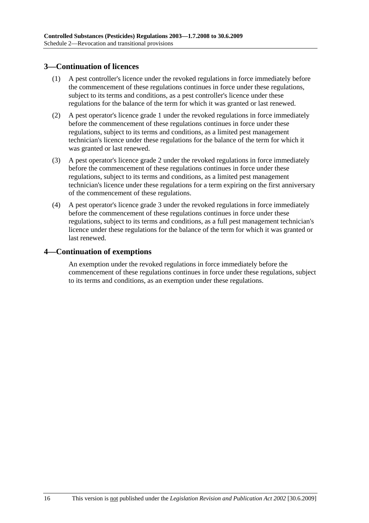### **3—Continuation of licences**

- (1) A pest controller's licence under the revoked regulations in force immediately before the commencement of these regulations continues in force under these regulations, subject to its terms and conditions, as a pest controller's licence under these regulations for the balance of the term for which it was granted or last renewed.
- (2) A pest operator's licence grade 1 under the revoked regulations in force immediately before the commencement of these regulations continues in force under these regulations, subject to its terms and conditions, as a limited pest management technician's licence under these regulations for the balance of the term for which it was granted or last renewed.
- (3) A pest operator's licence grade 2 under the revoked regulations in force immediately before the commencement of these regulations continues in force under these regulations, subject to its terms and conditions, as a limited pest management technician's licence under these regulations for a term expiring on the first anniversary of the commencement of these regulations.
- (4) A pest operator's licence grade 3 under the revoked regulations in force immediately before the commencement of these regulations continues in force under these regulations, subject to its terms and conditions, as a full pest management technician's licence under these regulations for the balance of the term for which it was granted or last renewed.

#### **4—Continuation of exemptions**

An exemption under the revoked regulations in force immediately before the commencement of these regulations continues in force under these regulations, subject to its terms and conditions, as an exemption under these regulations.